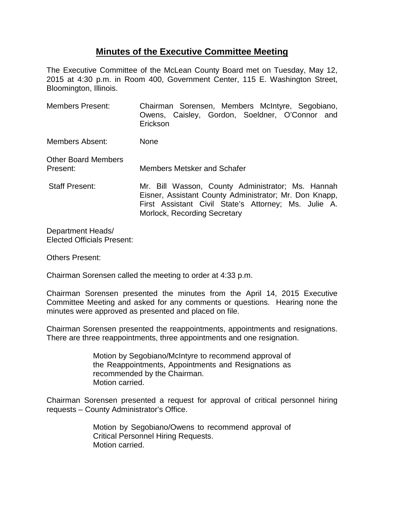## **Minutes of the Executive Committee Meeting**

The Executive Committee of the McLean County Board met on Tuesday, May 12, 2015 at 4:30 p.m. in Room 400, Government Center, 115 E. Washington Street, Bloomington, Illinois.

| <b>Members Present:</b>                | Chairman Sorensen, Members McIntyre, Segobiano,<br>Owens, Caisley, Gordon, Soeldner, O'Connor and<br>Erickson                                                                                       |
|----------------------------------------|-----------------------------------------------------------------------------------------------------------------------------------------------------------------------------------------------------|
| Members Absent:                        | <b>None</b>                                                                                                                                                                                         |
| <b>Other Board Members</b><br>Present: | Members Metsker and Schafer                                                                                                                                                                         |
| <b>Staff Present:</b>                  | Mr. Bill Wasson, County Administrator; Ms. Hannah<br>Eisner, Assistant County Administrator; Mr. Don Knapp,<br>First Assistant Civil State's Attorney; Ms. Julie A.<br>Morlock, Recording Secretary |
|                                        |                                                                                                                                                                                                     |

Department Heads/ Elected Officials Present:

Others Present:

Chairman Sorensen called the meeting to order at 4:33 p.m.

Chairman Sorensen presented the minutes from the April 14, 2015 Executive Committee Meeting and asked for any comments or questions. Hearing none the minutes were approved as presented and placed on file.

Chairman Sorensen presented the reappointments, appointments and resignations. There are three reappointments, three appointments and one resignation.

> Motion by Segobiano/McIntyre to recommend approval of the Reappointments, Appointments and Resignations as recommended by the Chairman. Motion carried.

Chairman Sorensen presented a request for approval of critical personnel hiring requests – County Administrator's Office.

> Motion by Segobiano/Owens to recommend approval of Critical Personnel Hiring Requests. Motion carried.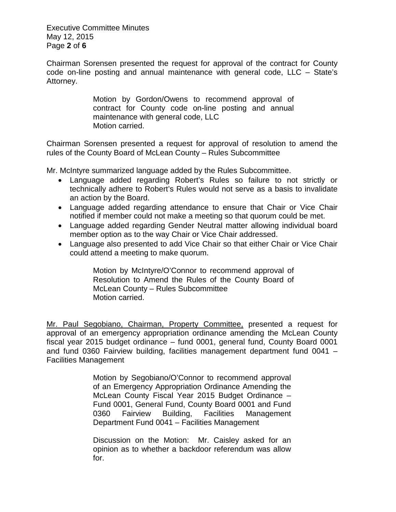Executive Committee Minutes May 12, 2015 Page **2** of **6**

Chairman Sorensen presented the request for approval of the contract for County code on-line posting and annual maintenance with general code, LLC – State's Attorney.

> Motion by Gordon/Owens to recommend approval of contract for County code on-line posting and annual maintenance with general code, LLC Motion carried.

Chairman Sorensen presented a request for approval of resolution to amend the rules of the County Board of McLean County – Rules Subcommittee

Mr. McIntyre summarized language added by the Rules Subcommittee.

- Language added regarding Robert's Rules so failure to not strictly or technically adhere to Robert's Rules would not serve as a basis to invalidate an action by the Board.
- Language added regarding attendance to ensure that Chair or Vice Chair notified if member could not make a meeting so that quorum could be met.
- Language added regarding Gender Neutral matter allowing individual board member option as to the way Chair or Vice Chair addressed.
- Language also presented to add Vice Chair so that either Chair or Vice Chair could attend a meeting to make quorum.

Motion by McIntyre/O'Connor to recommend approval of Resolution to Amend the Rules of the County Board of McLean County – Rules Subcommittee Motion carried.

Mr. Paul Segobiano, Chairman, Property Committee, presented a request for approval of an emergency appropriation ordinance amending the McLean County fiscal year 2015 budget ordinance – fund 0001, general fund, County Board 0001 and fund 0360 Fairview building, facilities management department fund 0041 – Facilities Management

> Motion by Segobiano/O'Connor to recommend approval of an Emergency Appropriation Ordinance Amending the McLean County Fiscal Year 2015 Budget Ordinance – Fund 0001, General Fund, County Board 0001 and Fund 0360 Fairview Building, Facilities Management Department Fund 0041 – Facilities Management

> Discussion on the Motion: Mr. Caisley asked for an opinion as to whether a backdoor referendum was allow for.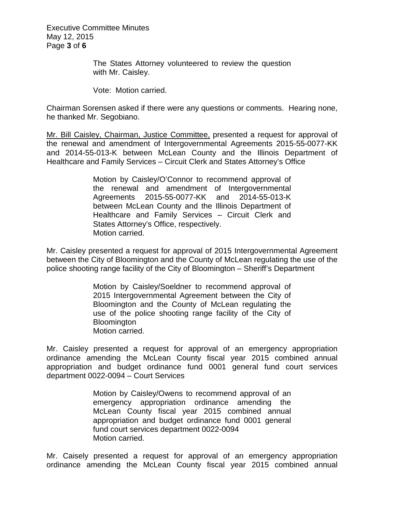Executive Committee Minutes May 12, 2015 Page **3** of **6**

> The States Attorney volunteered to review the question with Mr. Caisley.

Vote: Motion carried.

Chairman Sorensen asked if there were any questions or comments. Hearing none, he thanked Mr. Segobiano.

Mr. Bill Caisley, Chairman, Justice Committee, presented a request for approval of the renewal and amendment of Intergovernmental Agreements 2015-55-0077-KK and 2014-55-013-K between McLean County and the Illinois Department of Healthcare and Family Services – Circuit Clerk and States Attorney's Office

> Motion by Caisley/O'Connor to recommend approval of the renewal and amendment of Intergovernmental Agreements 2015-55-0077-KK and 2014-55-013-K between McLean County and the Illinois Department of Healthcare and Family Services – Circuit Clerk and States Attorney's Office, respectively. Motion carried.

Mr. Caisley presented a request for approval of 2015 Intergovernmental Agreement between the City of Bloomington and the County of McLean regulating the use of the police shooting range facility of the City of Bloomington – Sheriff's Department

> Motion by Caisley/Soeldner to recommend approval of 2015 Intergovernmental Agreement between the City of Bloomington and the County of McLean regulating the use of the police shooting range facility of the City of **Bloomington** Motion carried.

Mr. Caisley presented a request for approval of an emergency appropriation ordinance amending the McLean County fiscal year 2015 combined annual appropriation and budget ordinance fund 0001 general fund court services department 0022-0094 – Court Services

> Motion by Caisley/Owens to recommend approval of an emergency appropriation ordinance amending the McLean County fiscal year 2015 combined annual appropriation and budget ordinance fund 0001 general fund court services department 0022-0094 Motion carried.

Mr. Caisely presented a request for approval of an emergency appropriation ordinance amending the McLean County fiscal year 2015 combined annual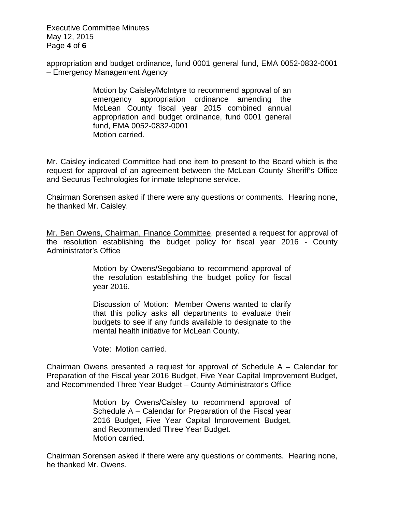Executive Committee Minutes May 12, 2015 Page **4** of **6**

appropriation and budget ordinance, fund 0001 general fund, EMA 0052-0832-0001 – Emergency Management Agency

> Motion by Caisley/McIntyre to recommend approval of an emergency appropriation ordinance amending the McLean County fiscal year 2015 combined annual appropriation and budget ordinance, fund 0001 general fund, EMA 0052-0832-0001 Motion carried.

Mr. Caisley indicated Committee had one item to present to the Board which is the request for approval of an agreement between the McLean County Sheriff's Office and Securus Technologies for inmate telephone service.

Chairman Sorensen asked if there were any questions or comments. Hearing none, he thanked Mr. Caisley.

Mr. Ben Owens, Chairman, Finance Committee, presented a request for approval of the resolution establishing the budget policy for fiscal year 2016 - County Administrator's Office

> Motion by Owens/Segobiano to recommend approval of the resolution establishing the budget policy for fiscal year 2016.

> Discussion of Motion: Member Owens wanted to clarify that this policy asks all departments to evaluate their budgets to see if any funds available to designate to the mental health initiative for McLean County.

Vote: Motion carried.

Chairman Owens presented a request for approval of Schedule A – Calendar for Preparation of the Fiscal year 2016 Budget, Five Year Capital Improvement Budget, and Recommended Three Year Budget – County Administrator's Office

> Motion by Owens/Caisley to recommend approval of Schedule A – Calendar for Preparation of the Fiscal year 2016 Budget, Five Year Capital Improvement Budget, and Recommended Three Year Budget. Motion carried.

Chairman Sorensen asked if there were any questions or comments. Hearing none, he thanked Mr. Owens.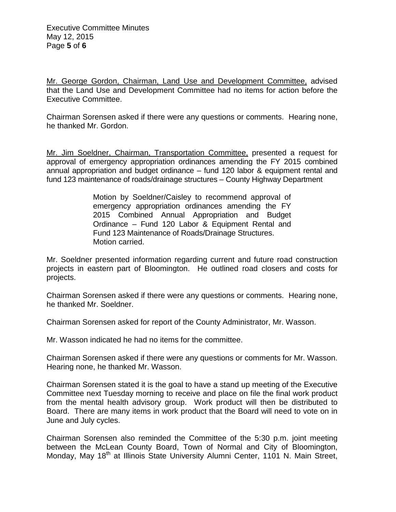Mr. George Gordon, Chairman, Land Use and Development Committee, advised that the Land Use and Development Committee had no items for action before the Executive Committee.

Chairman Sorensen asked if there were any questions or comments. Hearing none, he thanked Mr. Gordon.

Mr. Jim Soeldner, Chairman, Transportation Committee, presented a request for approval of emergency appropriation ordinances amending the FY 2015 combined annual appropriation and budget ordinance – fund 120 labor & equipment rental and fund 123 maintenance of roads/drainage structures – County Highway Department

> Motion by Soeldner/Caisley to recommend approval of emergency appropriation ordinances amending the FY 2015 Combined Annual Appropriation and Budget Ordinance – Fund 120 Labor & Equipment Rental and Fund 123 Maintenance of Roads/Drainage Structures. Motion carried.

Mr. Soeldner presented information regarding current and future road construction projects in eastern part of Bloomington. He outlined road closers and costs for projects.

Chairman Sorensen asked if there were any questions or comments. Hearing none, he thanked Mr. Soeldner.

Chairman Sorensen asked for report of the County Administrator, Mr. Wasson.

Mr. Wasson indicated he had no items for the committee.

Chairman Sorensen asked if there were any questions or comments for Mr. Wasson. Hearing none, he thanked Mr. Wasson.

Chairman Sorensen stated it is the goal to have a stand up meeting of the Executive Committee next Tuesday morning to receive and place on file the final work product from the mental health advisory group. Work product will then be distributed to Board. There are many items in work product that the Board will need to vote on in June and July cycles.

Chairman Sorensen also reminded the Committee of the 5:30 p.m. joint meeting between the McLean County Board, Town of Normal and City of Bloomington, Monday, May 18<sup>th</sup> at Illinois State University Alumni Center, 1101 N. Main Street,